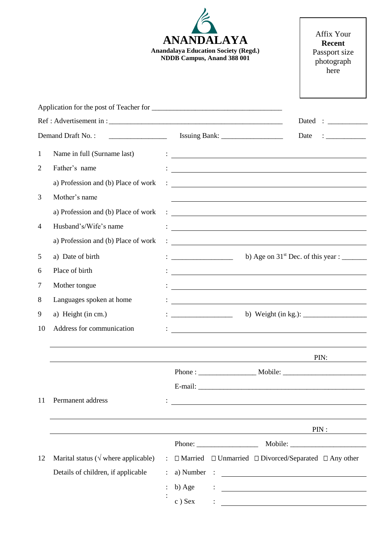|                |                                              | <b>ANANDALAYA</b><br><b>Anandalaya Education Society (Regd.)</b><br>NDDB Campus, Anand 388 001                                                                                                                                            | Affix Your<br><b>Recent</b><br>Passport size<br>photograph<br>here                                                    |
|----------------|----------------------------------------------|-------------------------------------------------------------------------------------------------------------------------------------------------------------------------------------------------------------------------------------------|-----------------------------------------------------------------------------------------------------------------------|
|                |                                              |                                                                                                                                                                                                                                           |                                                                                                                       |
|                |                                              |                                                                                                                                                                                                                                           |                                                                                                                       |
|                | Demand Draft No.:                            |                                                                                                                                                                                                                                           | Date                                                                                                                  |
| 1              | Name in full (Surname last)                  | <u> 1989 - Andrea State Barbara, amerikan personal di personal dengan personal dengan personal dengan personal d</u>                                                                                                                      |                                                                                                                       |
| $\overline{2}$ | Father's name                                | <u> 1980 - Andrea Andrew Maria (h. 1980).</u>                                                                                                                                                                                             |                                                                                                                       |
|                | a) Profession and (b) Place of work          | $\mathcal{L}_{\text{max}}$ . The contract of the contract of the contract of the contract of the contract of the contract of the contract of the contract of the contract of the contract of the contract of the contract of the contract |                                                                                                                       |
| 3              | Mother's name                                |                                                                                                                                                                                                                                           |                                                                                                                       |
|                | a) Profession and (b) Place of work          | <u> : a construction de la construction de la construction de la construction de la construction de la construction de la construction de la construction de la construction de la construction de la construction de la constru</u>      |                                                                                                                       |
| $\overline{4}$ | Husband's/Wife's name                        | <u> 1980 - Johann Barn, mars ann an t-Amhain Aonaichte ann an t-Aonaichte ann an t-Aonaichte ann an t-Aonaichte a</u>                                                                                                                     |                                                                                                                       |
|                | a) Profession and (b) Place of work          | <u> Andreas Andreas Andreas Andreas Andreas Andreas Andreas Andreas Andreas Andreas Andreas Andreas Andreas Andr</u>                                                                                                                      |                                                                                                                       |
| 5              | a) Date of birth                             | $\frac{1}{2}$ . The contract of the contract of the contract of the contract of the contract of the contract of the contract of the contract of the contract of the contract of the contract of the contract of the contract of t         | b) Age on $31st$ Dec. of this year : ________                                                                         |
| 6              | Place of birth                               |                                                                                                                                                                                                                                           |                                                                                                                       |
| 7              | Mother tongue                                |                                                                                                                                                                                                                                           |                                                                                                                       |
| 8              | Languages spoken at home                     |                                                                                                                                                                                                                                           |                                                                                                                       |
| 9              | a) Height (in cm.)                           |                                                                                                                                                                                                                                           |                                                                                                                       |
| 10             | Address for communication                    |                                                                                                                                                                                                                                           |                                                                                                                       |
|                |                                              |                                                                                                                                                                                                                                           | PIN:                                                                                                                  |
|                |                                              | Phone: Mobile: Mobile:                                                                                                                                                                                                                    |                                                                                                                       |
|                |                                              |                                                                                                                                                                                                                                           |                                                                                                                       |
| 11             | Permanent address                            |                                                                                                                                                                                                                                           |                                                                                                                       |
|                |                                              | <u> 1980 - Johann Barnett, fransk politiker (d. 1980)</u>                                                                                                                                                                                 | PIN:                                                                                                                  |
|                |                                              |                                                                                                                                                                                                                                           |                                                                                                                       |
| 12             | Marital status ( $\sqrt{}$ where applicable) | : $\Box$ Married $\Box$ Unmarried $\Box$ Divorced/Separated $\Box$ Any other                                                                                                                                                              |                                                                                                                       |
|                | Details of children, if applicable           | a) Number :<br>$\ddot{\phantom{a}}$ .                                                                                                                                                                                                     |                                                                                                                       |
|                |                                              | b) Age                                                                                                                                                                                                                                    | <u> 1989 - Johann John Stein, markin fyrir yr ymgyrdd y gynnwys y gynnwys y gynnwys y gynnwys y gynnwys y gynnwys</u> |
|                |                                              | $c$ ) Sex                                                                                                                                                                                                                                 |                                                                                                                       |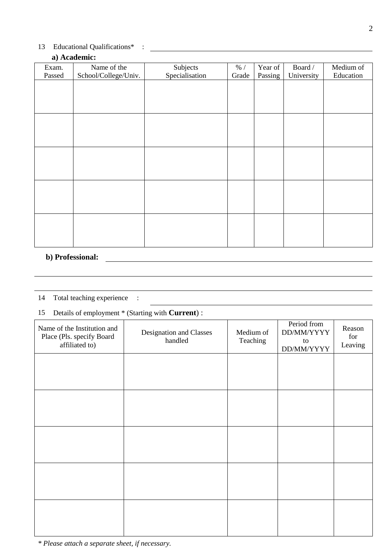## 13 Educational Qualifications\* :

## **a) Academic:**

| Exam.  | Name of the          | Subjects       | $\%$ / | Year of | Board /    | Medium of |
|--------|----------------------|----------------|--------|---------|------------|-----------|
| Passed | School/College/Univ. | Specialisation | Grade  | Passing | University | Education |
|        |                      |                |        |         |            |           |
|        |                      |                |        |         |            |           |
|        |                      |                |        |         |            |           |
|        |                      |                |        |         |            |           |
|        |                      |                |        |         |            |           |
|        |                      |                |        |         |            |           |
|        |                      |                |        |         |            |           |
|        |                      |                |        |         |            |           |
|        |                      |                |        |         |            |           |
|        |                      |                |        |         |            |           |
|        |                      |                |        |         |            |           |
|        |                      |                |        |         |            |           |
|        |                      |                |        |         |            |           |
|        |                      |                |        |         |            |           |
|        |                      |                |        |         |            |           |

# **b) Professional:**

## 14 Total teaching experience :

# 15 Details of employment \* (Starting with **Current**) :

| Name of the Institution and<br>Place (Pls. specify Board<br>affiliated to) | Designation and Classes<br>handled | Medium of<br>Teaching | Period from<br>DD/MM/YYYY<br>$\,$ to $\,$<br>DD/MM/YYYY | Reason<br>for<br>Leaving |
|----------------------------------------------------------------------------|------------------------------------|-----------------------|---------------------------------------------------------|--------------------------|
|                                                                            |                                    |                       |                                                         |                          |
|                                                                            |                                    |                       |                                                         |                          |
|                                                                            |                                    |                       |                                                         |                          |
|                                                                            |                                    |                       |                                                         |                          |
|                                                                            |                                    |                       |                                                         |                          |

*\* Please attach a separate sheet, if necessary.*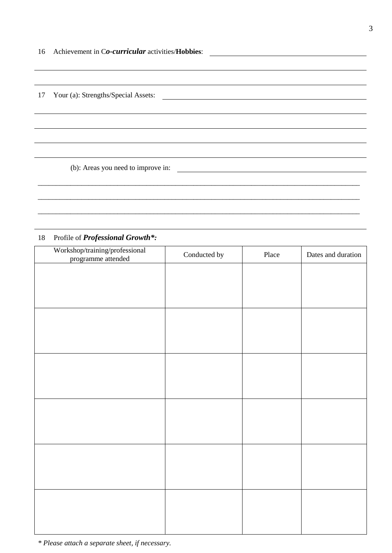17 Your (a): Strengths/Special Assets:

(b): Areas you need to improve in:

## 18 Profile of *Professional Growth\*:*

| Workshop/training/professional<br>programme attended | Conducted by | Place | Dates and duration |
|------------------------------------------------------|--------------|-------|--------------------|
|                                                      |              |       |                    |
|                                                      |              |       |                    |
|                                                      |              |       |                    |
|                                                      |              |       |                    |
|                                                      |              |       |                    |
|                                                      |              |       |                    |
|                                                      |              |       |                    |
|                                                      |              |       |                    |
|                                                      |              |       |                    |
|                                                      |              |       |                    |
|                                                      |              |       |                    |
|                                                      |              |       |                    |
|                                                      |              |       |                    |
|                                                      |              |       |                    |
|                                                      |              |       |                    |
|                                                      |              |       |                    |
|                                                      |              |       |                    |
|                                                      |              |       |                    |

\_\_\_\_\_\_\_\_\_\_\_\_\_\_\_\_\_\_\_\_\_\_\_\_\_\_\_\_\_\_\_\_\_\_\_\_\_\_\_\_\_\_\_\_\_\_\_\_\_\_\_\_\_\_\_\_\_\_\_\_\_\_\_\_\_\_\_\_\_\_\_\_\_\_\_\_\_\_\_\_\_\_\_\_\_\_\_\_\_

\_\_\_\_\_\_\_\_\_\_\_\_\_\_\_\_\_\_\_\_\_\_\_\_\_\_\_\_\_\_\_\_\_\_\_\_\_\_\_\_\_\_\_\_\_\_\_\_\_\_\_\_\_\_\_\_\_\_\_\_\_\_\_\_\_\_\_\_\_\_\_\_\_\_\_\_\_\_\_\_\_\_\_\_\_\_\_\_\_

\_\_\_\_\_\_\_\_\_\_\_\_\_\_\_\_\_\_\_\_\_\_\_\_\_\_\_\_\_\_\_\_\_\_\_\_\_\_\_\_\_\_\_\_\_\_\_\_\_\_\_\_\_\_\_\_\_\_\_\_\_\_\_\_\_\_\_\_\_\_\_\_\_\_\_\_\_\_\_\_\_\_\_\_\_\_\_\_\_

*\* Please attach a separate sheet, if necessary.*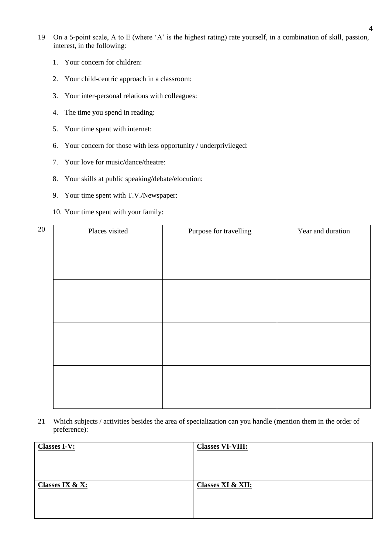- 19 On a 5-point scale, A to E (where 'A' is the highest rating) rate yourself, in a combination of skill, passion, interest, in the following:
	- 1. Your concern for children:
	- 2. Your child-centric approach in a classroom:
	- 3. Your inter-personal relations with colleagues:
	- 4. The time you spend in reading:
	- 5. Your time spent with internet:
	- 6. Your concern for those with less opportunity / underprivileged:
	- 7. Your love for music/dance/theatre:
	- 8. Your skills at public speaking/debate/elocution:
	- 9. Your time spent with T.V./Newspaper:
	- 10. Your time spent with your family:

| 20 | Places visited | Purpose for travelling | Year and duration |
|----|----------------|------------------------|-------------------|
|    |                |                        |                   |
|    |                |                        |                   |
|    |                |                        |                   |
|    |                |                        |                   |
|    |                |                        |                   |
|    |                |                        |                   |
|    |                |                        |                   |
|    |                |                        |                   |
|    |                |                        |                   |
|    |                |                        |                   |
|    |                |                        |                   |
|    |                |                        |                   |

21 Which subjects / activities besides the area of specialization can you handle (mention them in the order of preference):

| <b>Classes I-V:</b>        | <b>Classes VI-VIII:</b>      |
|----------------------------|------------------------------|
|                            |                              |
|                            |                              |
|                            |                              |
| <b>Classes IX &amp; X:</b> | <b>Classes XI &amp; XII:</b> |
|                            |                              |
|                            |                              |
|                            |                              |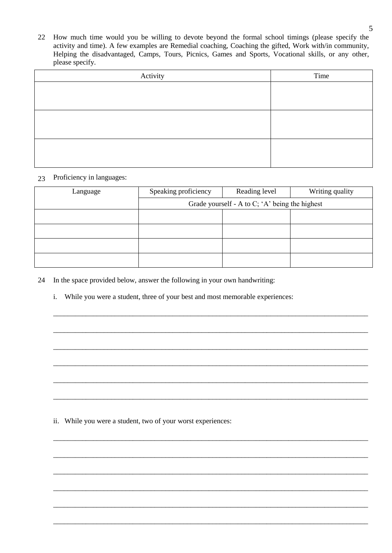22 How much time would you be willing to devote beyond the formal school timings (please specify the activity and time). A few examples are Remedial coaching, Coaching the gifted, Work with/in community, Helping the disadvantaged, Camps, Tours, Picnics, Games and Sports, Vocational skills, or any other, please specify.

| Activity | Time |
|----------|------|
|          |      |
|          |      |
|          |      |
|          |      |
|          |      |
|          |      |

#### 23 Proficiency in languages:

| Language | Speaking proficiency | Reading level                                  | Writing quality |
|----------|----------------------|------------------------------------------------|-----------------|
|          |                      | Grade yourself - A to C; 'A' being the highest |                 |
|          |                      |                                                |                 |
|          |                      |                                                |                 |
|          |                      |                                                |                 |
|          |                      |                                                |                 |

\_\_\_\_\_\_\_\_\_\_\_\_\_\_\_\_\_\_\_\_\_\_\_\_\_\_\_\_\_\_\_\_\_\_\_\_\_\_\_\_\_\_\_\_\_\_\_\_\_\_\_\_\_\_\_\_\_\_\_\_\_\_\_\_\_\_\_\_\_\_\_\_\_\_\_\_\_\_\_\_\_\_\_\_\_\_\_

\_\_\_\_\_\_\_\_\_\_\_\_\_\_\_\_\_\_\_\_\_\_\_\_\_\_\_\_\_\_\_\_\_\_\_\_\_\_\_\_\_\_\_\_\_\_\_\_\_\_\_\_\_\_\_\_\_\_\_\_\_\_\_\_\_\_\_\_\_\_\_\_\_\_\_\_\_\_\_\_\_\_\_\_\_\_\_

\_\_\_\_\_\_\_\_\_\_\_\_\_\_\_\_\_\_\_\_\_\_\_\_\_\_\_\_\_\_\_\_\_\_\_\_\_\_\_\_\_\_\_\_\_\_\_\_\_\_\_\_\_\_\_\_\_\_\_\_\_\_\_\_\_\_\_\_\_\_\_\_\_\_\_\_\_\_\_\_\_\_\_\_\_\_\_

\_\_\_\_\_\_\_\_\_\_\_\_\_\_\_\_\_\_\_\_\_\_\_\_\_\_\_\_\_\_\_\_\_\_\_\_\_\_\_\_\_\_\_\_\_\_\_\_\_\_\_\_\_\_\_\_\_\_\_\_\_\_\_\_\_\_\_\_\_\_\_\_\_\_\_\_\_\_\_\_\_\_\_\_\_\_\_

\_\_\_\_\_\_\_\_\_\_\_\_\_\_\_\_\_\_\_\_\_\_\_\_\_\_\_\_\_\_\_\_\_\_\_\_\_\_\_\_\_\_\_\_\_\_\_\_\_\_\_\_\_\_\_\_\_\_\_\_\_\_\_\_\_\_\_\_\_\_\_\_\_\_\_\_\_\_\_\_\_\_\_\_\_\_\_

\_\_\_\_\_\_\_\_\_\_\_\_\_\_\_\_\_\_\_\_\_\_\_\_\_\_\_\_\_\_\_\_\_\_\_\_\_\_\_\_\_\_\_\_\_\_\_\_\_\_\_\_\_\_\_\_\_\_\_\_\_\_\_\_\_\_\_\_\_\_\_\_\_\_\_\_\_\_\_\_\_\_\_\_\_\_\_

\_\_\_\_\_\_\_\_\_\_\_\_\_\_\_\_\_\_\_\_\_\_\_\_\_\_\_\_\_\_\_\_\_\_\_\_\_\_\_\_\_\_\_\_\_\_\_\_\_\_\_\_\_\_\_\_\_\_\_\_\_\_\_\_\_\_\_\_\_\_\_\_\_\_\_\_\_\_\_\_\_\_\_\_\_\_\_

\_\_\_\_\_\_\_\_\_\_\_\_\_\_\_\_\_\_\_\_\_\_\_\_\_\_\_\_\_\_\_\_\_\_\_\_\_\_\_\_\_\_\_\_\_\_\_\_\_\_\_\_\_\_\_\_\_\_\_\_\_\_\_\_\_\_\_\_\_\_\_\_\_\_\_\_\_\_\_\_\_\_\_\_\_\_\_

\_\_\_\_\_\_\_\_\_\_\_\_\_\_\_\_\_\_\_\_\_\_\_\_\_\_\_\_\_\_\_\_\_\_\_\_\_\_\_\_\_\_\_\_\_\_\_\_\_\_\_\_\_\_\_\_\_\_\_\_\_\_\_\_\_\_\_\_\_\_\_\_\_\_\_\_\_\_\_\_\_\_\_\_\_\_\_

\_\_\_\_\_\_\_\_\_\_\_\_\_\_\_\_\_\_\_\_\_\_\_\_\_\_\_\_\_\_\_\_\_\_\_\_\_\_\_\_\_\_\_\_\_\_\_\_\_\_\_\_\_\_\_\_\_\_\_\_\_\_\_\_\_\_\_\_\_\_\_\_\_\_\_\_\_\_\_\_\_\_\_\_\_\_\_

\_\_\_\_\_\_\_\_\_\_\_\_\_\_\_\_\_\_\_\_\_\_\_\_\_\_\_\_\_\_\_\_\_\_\_\_\_\_\_\_\_\_\_\_\_\_\_\_\_\_\_\_\_\_\_\_\_\_\_\_\_\_\_\_\_\_\_\_\_\_\_\_\_\_\_\_\_\_\_\_\_\_\_\_\_\_\_

\_\_\_\_\_\_\_\_\_\_\_\_\_\_\_\_\_\_\_\_\_\_\_\_\_\_\_\_\_\_\_\_\_\_\_\_\_\_\_\_\_\_\_\_\_\_\_\_\_\_\_\_\_\_\_\_\_\_\_\_\_\_\_\_\_\_\_\_\_\_\_\_\_\_\_\_\_\_\_\_\_\_\_\_\_\_\_

- 24 In the space provided below, answer the following in your own handwriting:
	- i. While you were a student, three of your best and most memorable experiences:

ii. While you were a student, two of your worst experiences: